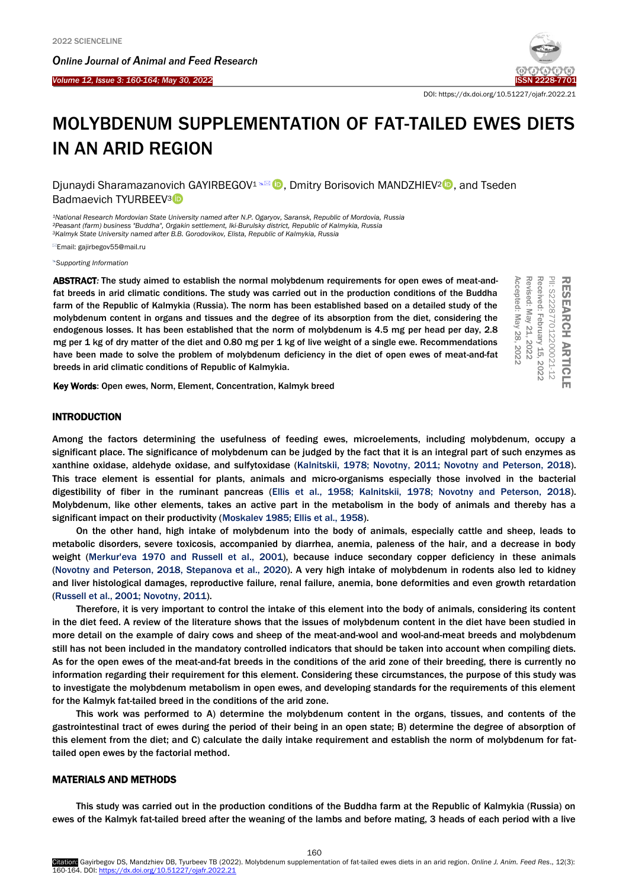Ī



DOI: https://dx.doi.org/10.51227/ojafr.2022.21

# MOLYBDENUM SUPPLEMENTATION OF FAT-TAILED EWES DIETS IN AN ARID REGION

Djunaydi Sharamazanovich GAYIRBEGOV<sup>1</sup> **.** Dmitry Borisovich MANDZHIEV<sup>2</sup><sup>0</sup>, and Tseden Badmaevich TYURBEEV<sup>3</sup><sup>D</sup>

*¹National Research Mordovian State University named after N.P. Ogaryov, Saransk, Republic of Mordovia, Russia ²Peasant (farm) business "Buddha", Orgakin settlement, Iki-Burulsky district, Republic of Kalmykia, Russia <sup>3</sup>Kalmyk State University named after B.B. Gorodovikov, Elista, Republic of Kalmykia, Russia*

Email: gajirbegov55@mail.ru

*[Supporting Information](#page-4-0)*

ABSTRACT*:* The study aimed to establish the normal molybdenum requirements for open ewes of meat-andfat breeds in arid climatic conditions. The study was carried out in the production conditions of the Buddha farm of the Republic of Kalmykia (Russia). The norm has been established based on a detailed study of the molybdenum content in organs and tissues and the degree of its absorption from the diet, considering the endogenous losses. It has been established that the norm of molybdenum is 4.5 mg per head per day, 2.8 mg per 1 kg of dry matter of the diet and 0.80 mg per 1 kg of live weight of a single ewe. Recommendations have been made to solve the problem of molybdenum deficiency in the diet of open ewes of meat-and-fat breeds in arid climatic conditions of Republic of Kalmykia.



Key Words: Open ewes, Norm, Element, Concentration, Kalmyk breed

## **INTRODUCTION**

Among the factors determining the usefulness of feeding ewes, microelements, including molybdenum, occupy a significant place. The significance of molybdenum can be judged by the fact that it is an integral part of such enzymes as xanthine oxidase, aldehyde oxidase, and sulfytoxidase [\(Kalnitskii, 1978; Novotny, 2011; Novotny and Peterson, 2018\).](#page-4-0)  This trace element is essential for plants, animals and micro-organisms especially those involved in the bacterial digestibility of fiber in the ruminant pancreas (E[llis et al., 1958; Kalnitskii, 1978; Novotny and Peterson, 2018](#page-4-0)). Molybdenum, like other elements, takes an active part in the metabolism in the body of animals and thereby has a significant impact on their productivity [\(Moskalev 1985; Ellis et al., 1958\).](#page-4-0)

On the other hand, high intake of molybdenum into the body of animals, especially cattle and sheep, leads to metabolic disorders, severe toxicosis, accompanied by diarrhea, anemia, paleness of the hair, and a decrease in body weight (Merkur'eva [1970 and Russell et al., 2001\),](#page-4-0) because induce secondary copper deficiency in these animals [\(Novotny and Peterson, 2018, Stepanova et al., 2020\).](#page-4-0) A very high intake of molybdenum in rodents also led to kidney and liver histological damages, reproductive failure, renal failure, anemia, bone deformities and even growth retardation [\(Russell et al., 2001; Novotny, 2011\).](#page-4-0)

Therefore, it is very important to control the intake of this element into the body of animals, considering its content in the diet feed. A review of the literature shows that the issues of molybdenum content in the diet have been studied in more detail on the example of dairy cows and sheep of the meat-and-wool and wool-and-meat breeds and molybdenum still has not been included in the mandatory controlled indicators that should be taken into account when compiling diets. As for the open ewes of the meat-and-fat breeds in the conditions of the arid zone of their breeding, there is currently no information regarding their requirement for this element. Considering these circumstances, the purpose of this study was to investigate the molybdenum metabolism in open ewes, and developing standards for the requirements of this element for the Kalmyk fat-tailed breed in the conditions of the arid zone.

This work was performed to A) determine the molybdenum content in the organs, tissues, and contents of the gastrointestinal tract of ewes during the period of their being in an open state; B) determine the degree of absorption of this element from the diet; and C) calculate the daily intake requirement and establish the norm of molybdenum for fattailed open ewes by the factorial method.

## MATERIALS AND METHODS

This study was carried out in the production conditions of the Buddha farm at the Republic of Kalmykia (Russia) on ewes of the Kalmyk fat-tailed breed after the weaning of the lambs and before mating, 3 heads of each period with a live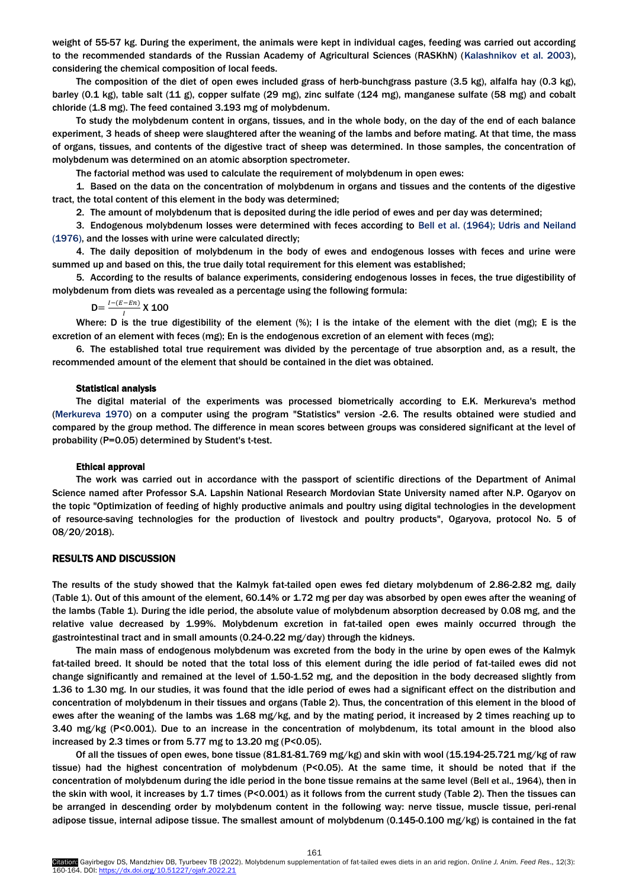weight of 55-57 kg. During the experiment, the animals were kept in individual cages, feeding was carried out according to the recommended standards of the Russian Academy of Agricultural Sciences (RASKhN) [\(Kalashnikov et al. 2003\),](#page-4-0)  considering the chemical composition of local feeds.

The composition of the diet of open ewes included grass of herb-bunchgrass pasture (3.5 kg), alfalfa hay (0.3 kg), barley (0.1 kg), table salt (11 g), copper sulfate (29 mg), zinc sulfate (124 mg), manganese sulfate (58 mg) and cobalt chloride (1.8 mg). The feed contained 3.193 mg of molybdenum.

To study the molybdenum content in organs, tissues, and in the whole body, on the day of the end of each balance experiment, 3 heads of sheep were slaughtered after the weaning of the lambs and before mating. At that time, the mass of organs, tissues, and contents of the digestive tract of sheep was determined. In those samples, the concentration of molybdenum was determined on an atomic absorption spectrometer.

The factorial method was used to calculate the requirement of molybdenum in open ewes:

1. Based on the data on the concentration of molybdenum in organs and tissues and the contents of the digestive tract, the total content of this element in the body was determined;

2. The amount of molybdenum that is deposited during the idle period of ewes and per day was determined;

3. Endogenous molybdenum losses were determined with feces according to [Bell et al. \(1964\); Udris and](#page-4-0) Neiland (1976), and the losses with urine were calculated directly;

4. The daily deposition of molybdenum in the body of ewes and endogenous losses with feces and urine were summed up and based on this, the true daily total requirement for this element was established;

5. According to the results of balance experiments, considering endogenous losses in feces, the true digestibility of molybdenum from diets was revealed as a percentage using the following formula:

 $D = \frac{I - (E - En)}{I}$  $\frac{(-EH)}{I}$  X 100

Where: D is the true digestibility of the element (%); I is the intake of the element with the diet (mg); E is the excretion of an element with feces (mg); En is the endogenous excretion of an element with feces (mg);

6. The established total true requirement was divided by the percentage of true absorption and, as a result, the recommended amount of the element that should be contained in the diet was obtained.

## Statistical analysis

The digital material of the experiments was processed biometrically according to E.K. Merkureva's method [\(Merkureva 1970\)](#page-4-0) on a computer using the program "Statistics" version -2.6. The results obtained were studied and compared by the group method. The difference in mean scores between groups was considered significant at the level of probability (P=0.05) determined by Student's t-test.

#### Ethical approval

The work was carried out in accordance with the passport of scientific directions of the Department of Animal Science named after Professor S.A. Lapshin National Research Mordovian State University named after N.P. Ogaryov on the topic "Optimization of feeding of highly productive animals and poultry using digital technologies in the development of resource-saving technologies for the production of livestock and poultry products", Ogaryova, protocol No. 5 of 08/20/2018).

#### RESULTS AND DISCUSSION

The results of the study showed that the Kalmyk fat-tailed open ewes fed dietary molybdenum of 2.86-2.82 mg, daily (Table 1). Out of this amount of the element, 60.14% or 1.72 mg per day was absorbed by open ewes after the weaning of the lambs (Table 1). During the idle period, the absolute value of molybdenum absorption decreased by 0.08 mg, and the relative value decreased by 1.99%. Molybdenum excretion in fat-tailed open ewes mainly occurred through the gastrointestinal tract and in small amounts (0.24-0.22 mg/day) through the kidneys.

The main mass of endogenous molybdenum was excreted from the body in the urine by open ewes of the Kalmyk fat-tailed breed. It should be noted that the total loss of this element during the idle period of fat-tailed ewes did not change significantly and remained at the level of 1.50-1.52 mg, and the deposition in the body decreased slightly from 1.36 to 1.30 mg. In our studies, it was found that the idle period of ewes had a significant effect on the distribution and concentration of molybdenum in their tissues and organs (Table 2). Thus, the concentration of this element in the blood of ewes after the weaning of the lambs was 1.68 mg/kg, and by the mating period, it increased by 2 times reaching up to 3.40 mg/kg (P<0.001). Due to an increase in the concentration of molybdenum, its total amount in the blood also increased by 2.3 times or from 5.77 mg to 13.20 mg (P<0.05).

Of all the tissues of open ewes, bone tissue (81.81-81.769 mg/kg) and skin with wool (15.194-25.721 mg/kg of raw tissue) had the highest concentration of molybdenum (P<0.05). At the same time, it should be noted that if the concentration of molybdenum during the idle period in the bone tissue remains at the same level (Bell et al., 1964), then in the skin with wool, it increases by 1.7 times (P<0.001) as it follows from the current study (Table 2). Then the tissues can be arranged in descending order by molybdenum content in the following way: nerve tissue, muscle tissue, peri-renal adipose tissue, internal adipose tissue. The smallest amount of molybdenum (0.145-0.100 mg/kg) is contained in the fat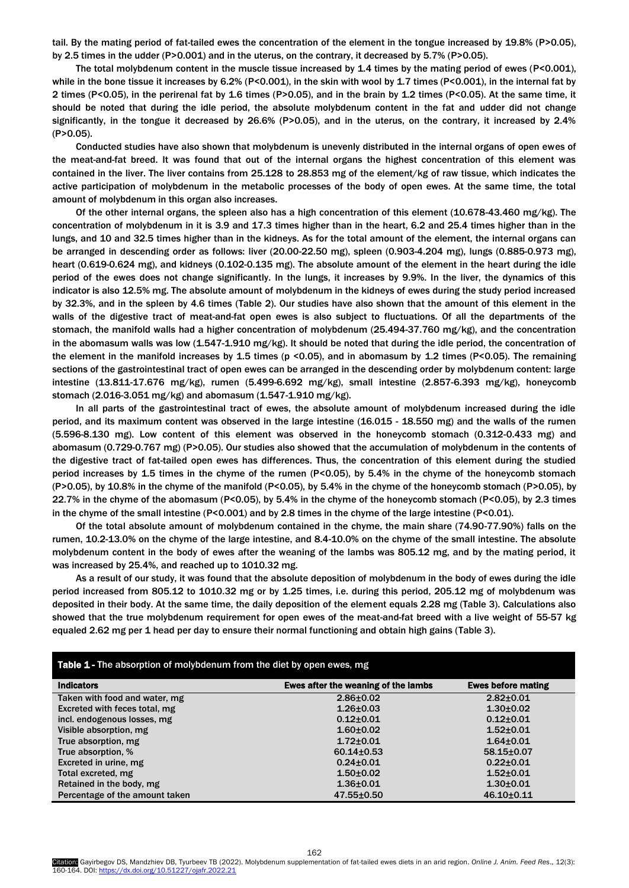tail. By the mating period of fat-tailed ewes the concentration of the element in the tongue increased by 19.8% (P>0.05), by 2.5 times in the udder (P>0.001) and in the uterus, on the contrary, it decreased by 5.7% (P>0.05).

The total molybdenum content in the muscle tissue increased by 1.4 times by the mating period of ewes (P<0.001), while in the bone tissue it increases by 6.2% (P<0.001), in the skin with wool by 1.7 times (P<0.001), in the internal fat by 2 times (P<0.05), in the perirenal fat by 1.6 times (P>0.05), and in the brain by 1.2 times (P<0.05). At the same time, it should be noted that during the idle period, the absolute molybdenum content in the fat and udder did not change significantly, in the tongue it decreased by 26.6% (P>0.05), and in the uterus, on the contrary, it increased by 2.4% (P>0.05).

Conducted studies have also shown that molybdenum is unevenly distributed in the internal organs of open ewes of the meat-and-fat breed. It was found that out of the internal organs the highest concentration of this element was contained in the liver. The liver contains from 25.128 to 28.853 mg of the element/kg of raw tissue, which indicates the active participation of molybdenum in the metabolic processes of the body of open ewes. At the same time, the total amount of molybdenum in this organ also increases.

Of the other internal organs, the spleen also has a high concentration of this element (10.678-43.460 mg/kg). The concentration of molybdenum in it is 3.9 and 17.3 times higher than in the heart, 6.2 and 25.4 times higher than in the lungs, and 10 and 32.5 times higher than in the kidneys. As for the total amount of the element, the internal organs can be arranged in descending order as follows: liver (20.00-22.50 mg), spleen (0.903-4.204 mg), lungs (0.885-0.973 mg), heart (0.619-0.624 mg), and kidneys (0.102-0.135 mg). The absolute amount of the element in the heart during the idle period of the ewes does not change significantly. In the lungs, it increases by 9.9%. In the liver, the dynamics of this indicator is also 12.5% mg. The absolute amount of molybdenum in the kidneys of ewes during the study period increased by 32.3%, and in the spleen by 4.6 times (Table 2). Our studies have also shown that the amount of this element in the walls of the digestive tract of meat-and-fat open ewes is also subject to fluctuations. Of all the departments of the stomach, the manifold walls had a higher concentration of molybdenum (25.494-37.760 mg/kg), and the concentration in the abomasum walls was low (1.547-1.910 mg/kg). It should be noted that during the idle period, the concentration of the element in the manifold increases by 1.5 times (p <0.05), and in abomasum by 1.2 times (P<0.05). The remaining sections of the gastrointestinal tract of open ewes can be arranged in the descending order by molybdenum content: large intestine (13.811-17.676 mg/kg), rumen (5.499-6.692 mg/kg), small intestine (2.857-6.393 mg/kg), honeycomb stomach (2.016-3.051 mg/kg) and abomasum (1.547-1.910 mg/kg).

In all parts of the gastrointestinal tract of ewes, the absolute amount of molybdenum increased during the idle period, and its maximum content was observed in the large intestine (16.015 - 18.550 mg) and the walls of the rumen (5.596-8.130 mg). Low content of this element was observed in the honeycomb stomach (0.312-0.433 mg) and abomasum (0.729-0.767 mg) (P>0.05). Our studies also showed that the accumulation of molybdenum in the contents of the digestive tract of fat-tailed open ewes has differences. Thus, the concentration of this element during the studied period increases by 1.5 times in the chyme of the rumen (P<0.05), by 5.4% in the chyme of the honeycomb stomach (P>0.05), by 10.8% in the chyme of the manifold (P<0.05), by 5.4% in the chyme of the honeycomb stomach (P>0.05), by 22.7% in the chyme of the abomasum (P<0.05), by 5.4% in the chyme of the honeycomb stomach (P<0.05), by 2.3 times in the chyme of the small intestine (P<0.001) and by 2.8 times in the chyme of the large intestine (P<0.01).

Of the total absolute amount of molybdenum contained in the chyme, the main share (74.90-77.90%) falls on the rumen, 10.2-13.0% on the chyme of the large intestine, and 8.4-10.0% on the chyme of the small intestine. The absolute molybdenum content in the body of ewes after the weaning of the lambs was 805.12 mg, and by the mating period, it was increased by 25.4%, and reached up to 1010.32 mg.

As a result of our study, it was found that the absolute deposition of molybdenum in the body of ewes during the idle period increased from 805.12 to 1010.32 mg or by 1.25 times, i.e. during this period, 205.12 mg of molybdenum was deposited in their body. At the same time, the daily deposition of the element equals 2.28 mg (Table 3). Calculations also showed that the true molybdenum requirement for open ewes of the meat-and-fat breed with a live weight of 55-57 kg equaled 2.62 mg per 1 head per day to ensure their normal functioning and obtain high gains (Table 3).

| <b>Table 1 - The absorption of molybdenum from the diet by open ewes, mg</b> |                                     |                           |  |  |  |  |
|------------------------------------------------------------------------------|-------------------------------------|---------------------------|--|--|--|--|
| <b>Indicators</b>                                                            | Ewes after the weaning of the lambs | <b>Ewes before mating</b> |  |  |  |  |
| Taken with food and water, mg                                                | $2.86 \pm 0.02$                     | $2.82 + 0.01$             |  |  |  |  |
| Excreted with feces total, mg                                                | $1.26 + 0.03$                       | $1.30+0.02$               |  |  |  |  |
| incl. endogenous losses, mg                                                  | $0.12 + 0.01$                       | $0.12 + 0.01$             |  |  |  |  |
| Visible absorption, mg                                                       | $1.60 + 0.02$                       | $1.52 + 0.01$             |  |  |  |  |
| True absorption, mg                                                          | $1.72 + 0.01$                       | $1.64 + 0.01$             |  |  |  |  |
| True absorption, %                                                           | $60.14 \pm 0.53$                    | 58.15±0.07                |  |  |  |  |
| Excreted in urine, mg                                                        | $0.24 \pm 0.01$                     | $0.22 \pm 0.01$           |  |  |  |  |
| Total excreted, mg                                                           | $1.50 + 0.02$                       | $1.52 + 0.01$             |  |  |  |  |
| Retained in the body, mg                                                     | $1.36 + 0.01$                       | $1.30 + 0.01$             |  |  |  |  |
| Percentage of the amount taken                                               | $47.55 \pm 0.50$                    | $46.10+0.11$              |  |  |  |  |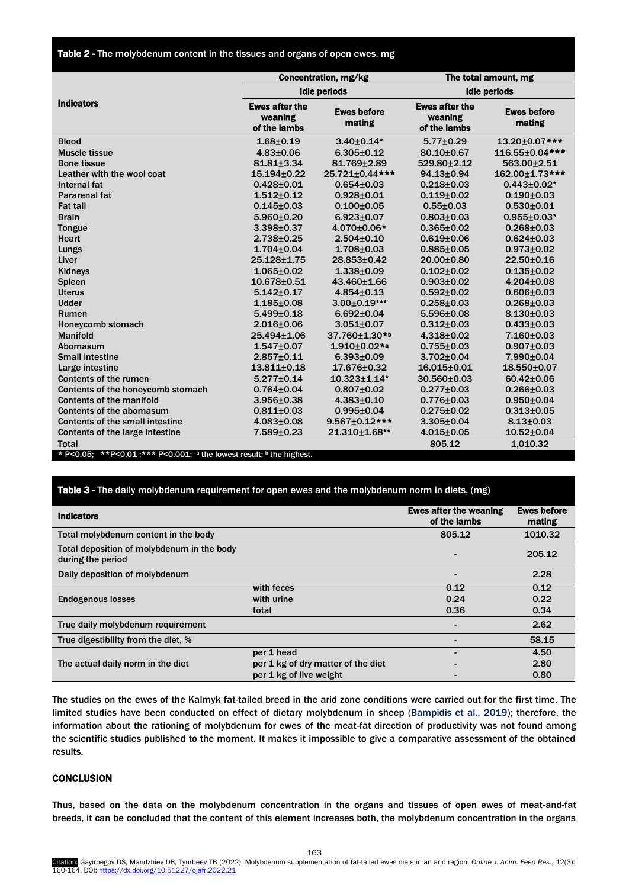Table 2 - The molybdenum content in the tissues and organs of open ewes, mg

|                                                                      | Concentration, mg/kg                             |                              | The total amount, mg                             |                              |  |
|----------------------------------------------------------------------|--------------------------------------------------|------------------------------|--------------------------------------------------|------------------------------|--|
|                                                                      |                                                  | <b>Idle periods</b>          |                                                  | <b>Idle periods</b>          |  |
| <b>Indicators</b>                                                    | <b>Ewes after the</b><br>weaning<br>of the lambs | <b>Ewes before</b><br>mating | <b>Ewes after the</b><br>weaning<br>of the lambs | <b>Ewes before</b><br>mating |  |
| <b>Blood</b>                                                         | $1.68 + 0.19$                                    | $3.40\pm0.14$ <sup>*</sup>   | $5.77 \pm 0.29$                                  | 13.20±0.07***                |  |
| Muscle tissue                                                        | $4.83{\pm}0.06$                                  | $6.305 \pm 0.12$             | 80.10±0.67                                       | 116.55±0.04***               |  |
| <b>Bone tissue</b>                                                   | $81.81 + 3.34$                                   | 81.769+2.89                  | 529.80+2.12                                      | 563.00+2.51                  |  |
| Leather with the wool coat                                           | 15.194±0.22                                      | 25.721±0.44***               | 94.13±0.94                                       | 162.00±1.73***               |  |
| Internal fat                                                         | $0.428 + 0.01$                                   | $0.654 \pm 0.03$             | $0.218 + 0.03$                                   | $0.443 \pm 0.02$ *           |  |
| <b>Pararenal fat</b>                                                 | $1.512 + 0.12$                                   | $0.928 + 0.01$               | $0.119 + 0.02$                                   | $0.190 + 0.03$               |  |
| <b>Fat tail</b>                                                      | $0.145 \pm 0.03$                                 | $0.100 + 0.05$               | $0.55 + 0.03$                                    | $0.530 + 0.01$               |  |
| <b>Brain</b>                                                         | $5.960 \pm 0.20$                                 | $6.923 \pm 0.07$             | $0.803 \pm 0.03$                                 | $0.955 \pm 0.03*$            |  |
| Tongue                                                               | 3.398±0.37                                       | 4.070±0.06*                  | $0.365 \pm 0.02$                                 | $0.268 + 0.03$               |  |
| <b>Heart</b>                                                         | $2.738 + 0.25$                                   | $2.504 \pm 0.10$             | $0.619 + 0.06$                                   | $0.624 \pm 0.03$             |  |
| Lungs                                                                | $1.704 \pm 0.04$                                 | $1.708 + 0.03$               | $0.885 + 0.05$                                   | $0.973 + 0.02$               |  |
| Liver                                                                | 25.128±1.75                                      | 28.853±0.42                  | 20.00±0.80                                       | 22.50±0.16                   |  |
| Kidneys                                                              | $1.065 \pm 0.02$                                 | $1.338 + 0.09$               | $0.102 \pm 0.02$                                 | $0.135 \pm 0.02$             |  |
| <b>Spleen</b>                                                        | 10.678±0.51                                      | 43.460±1.66                  | $0.903 \pm 0.02$                                 | $4.204 \pm 0.08$             |  |
| <b>Uterus</b>                                                        | $5.142 + 0.17$                                   | $4.854 \pm 0.13$             | $0.592 \pm 0.02$                                 | $0.606 \pm 0.03$             |  |
| <b>Udder</b>                                                         | $1.185 + 0.08$                                   | $3.00 \pm 0.19$ ***          | $0.258 + 0.03$                                   | $0.268 + 0.03$               |  |
| Rumen                                                                | $5.499 \pm 0.18$                                 | $6.692 \pm 0.04$             | $5.596 \pm 0.08$                                 | $8.130 \pm 0.03$             |  |
| Honeycomb stomach                                                    | $2.016 \pm 0.06$                                 | $3.051 \pm 0.07$             | $0.312 \pm 0.03$                                 | $0.433 \pm 0.03$             |  |
| <b>Manifold</b>                                                      | 25.494±1.06                                      | 37.760±1.30*b                | $4.318 + 0.02$                                   | $7.160 + 0.03$               |  |
| Abomasum                                                             | $1.547 \pm 0.07$                                 | $1.910+0.02**$               | $0.755 \pm 0.03$                                 | $0.907 \pm 0.03$             |  |
| <b>Small intestine</b>                                               | $2.857 + 0.11$                                   | $6.393 + 0.09$               | $3.702 \pm 0.04$                                 | 7.990±0.04                   |  |
| Large intestine                                                      | $13.811 \pm 0.18$                                | 17.676±0.32                  | $16.015 \pm 0.01$                                | 18.550±0.07                  |  |
| Contents of the rumen                                                | $5.277 \pm 0.14$                                 | 10.323±1.14*                 | 30.560±0.03                                      | 60.42±0.06                   |  |
| Contents of the honeycomb stomach                                    | $0.764 \pm 0.04$                                 | $0.807 \pm 0.02$             | $0.277 \pm 0.03$                                 | $0.266 \pm 0.03$             |  |
| Contents of the manifold                                             | $3.956 \pm 0.38$                                 | $4.383 \pm 0.10$             | $0.776 \pm 0.03$                                 | $0.950 \pm 0.04$             |  |
| Contents of the abomasum                                             | $0.811 \pm 0.03$                                 | $0.995 \pm 0.04$             | $0.275 \pm 0.02$                                 | $0.313 \pm 0.05$             |  |
| <b>Contents of the small intestine</b>                               | $4.083 \pm 0.08$                                 | 9.567±0.12***                | $3.305 \pm 0.04$                                 | $8.13 \pm 0.03$              |  |
| Contents of the large intestine                                      | 7.589±0.23                                       | 21.310±1.68**                | $4.015 \pm 0.05$                                 | $10.52 \pm 0.04$             |  |
| Total                                                                |                                                  |                              | 805.12                                           | 1,010.32                     |  |
| * P<0.05; **P<0.01; *** P<0.001; a the lowest result; b the highest. |                                                  |                              |                                                  |                              |  |

## Table 3 - The daily molybdenum requirement for open ewes and the molybdenum norm in diets, (mg)

| <b>Indicators</b>                                               |                                    | <b>Ewes after the weaning</b><br>of the lambs | <b>Ewes before</b><br>mating |
|-----------------------------------------------------------------|------------------------------------|-----------------------------------------------|------------------------------|
| Total molybdenum content in the body                            |                                    | 805.12                                        | 1010.32                      |
| Total deposition of molybdenum in the body<br>during the period |                                    |                                               | 205.12                       |
| Daily deposition of molybdenum                                  |                                    |                                               | 2.28                         |
| <b>Endogenous losses</b>                                        | with feces                         | 0.12                                          | 0.12                         |
|                                                                 | with urine                         | 0.24                                          | 0.22                         |
|                                                                 | total                              | 0.36                                          | 0.34                         |
| True daily molybdenum requirement                               |                                    |                                               | 2.62                         |
| True digestibility from the diet, %                             |                                    |                                               | 58.15                        |
|                                                                 | per 1 head                         |                                               | 4.50                         |
| The actual daily norm in the diet                               | per 1 kg of dry matter of the diet |                                               | 2.80                         |
|                                                                 | per 1 kg of live weight            |                                               | 0.80                         |

The studies on the ewes of the Kalmyk fat-tailed breed in the arid zone conditions were carried out for the first time. The limited studies have been conducted on effect of dietary molybdenum in sheep [\(Bampidis et al., 2019\);](#page-4-0) therefore, the information about the rationing of molybdenum for ewes of the meat-fat direction of productivity was not found among the scientific studies published to the moment. It makes it impossible to give a comparative assessment of the obtained results.

## **CONCLUSION**

Thus, based on the data on the molybdenum concentration in the organs and tissues of open ewes of meat-and-fat breeds, it can be concluded that the content of this element increases both, the molybdenum concentration in the organs